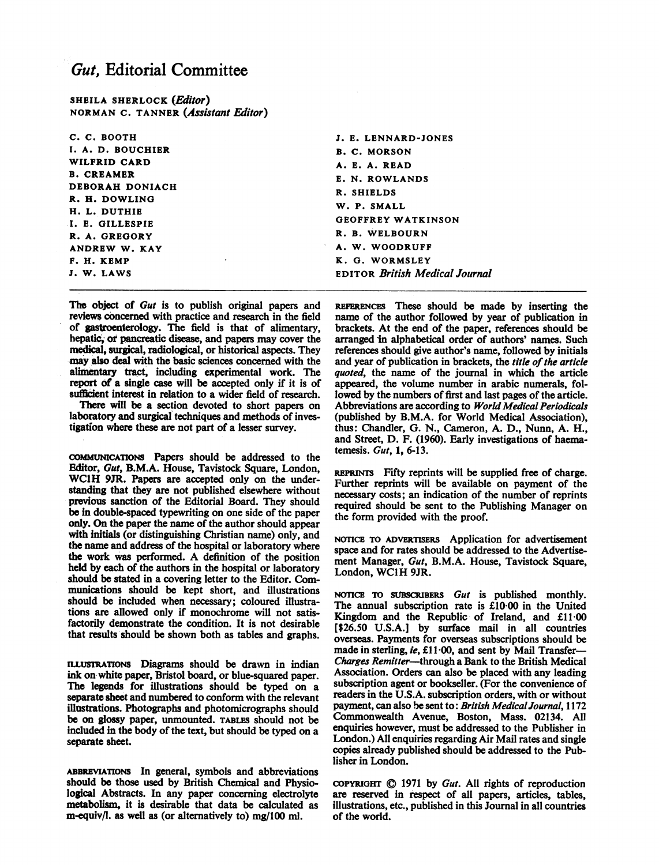## Gut, Editorial Committee

SHEILA SHERLOCK (Editor) NORMAN C. TANNER (Assistant Editor)

| с. с. воотн                                                                                                                                | J. E. LENNARD-JONES                   |
|--------------------------------------------------------------------------------------------------------------------------------------------|---------------------------------------|
| I. A. D. BOUCHIER                                                                                                                          | <b>B. C. MORSON</b>                   |
| WILFRID CARD<br><b>B. CREAMER</b><br>DEBORAH DONIACH<br>R. H. DOWLING<br>H. L. DUTHIE<br>I. E. GILLESPIE<br>R. A. GREGORY<br>ANDREW W. KAY | A. E. A. READ                         |
|                                                                                                                                            | E. N. ROWLANDS                        |
|                                                                                                                                            | R. SHIELDS                            |
|                                                                                                                                            | W. P. SMALL                           |
|                                                                                                                                            | <b>GEOFFREY WATKINSON</b>             |
|                                                                                                                                            | R. B. WELBOURN                        |
|                                                                                                                                            | A. W. WOODRUFF                        |
| F. H. KEMP<br>$\cdot$                                                                                                                      | K. G. WORMSLEY                        |
| J. W. LAWS                                                                                                                                 | <b>EDITOR British Medical Journal</b> |

The object of Gut is to publish original papers and reviews concerned with practice and research in the field of gastroenterology. The field is that of alimentary, hepatic, or pancreatic disease, and papers may cover the medical, surgical, radiological, or historical aspects. They may also deal with the basic sciences concerned with the alimentary tract, including experimental work. The report of a single case will be accepted only if it is of sufficient interest in relation to a wider field of research.

There will be a section devoted to short papers on laboratory and surgical techniques and methods of investigation where these are not part of a lesser survey.

COMMUNICATiONS Papers should be addressed to the Editor, Gut, B.M.A. House, Tavistock Square, London, WC1H 9JR. Papers are accepted only on the understanding that they are not published elsewhere without previous sanction of the Editorial Board. They should be in double-spaced typewriting on one side of the paper only. On the paper the name of the author should appear with initials (or distinguishing Christian name) only, and the name and address of the hospital or laboratory where the work was performed. A definition of the position held by each of the authors in the hospital or laboratory should be stated in a covering letter to the Editor. Communications should be kept short, and illustrations should be included when necessary; coloured illustrations are allowed only if monochrome will not satisfactorily demonstrate the condition. It is not desirable that results should be shown both as tables and graphs.

ILLUSTRATIONS Diagrams should be drawn in indian ink on white paper, Bristol board, or blue-squared paper. The legends for illustrations should be typed on a separate sheet and numbered to conform with the relevant illustrations. Photographs and photomicrographs should be on glossy paper, unmounted. TABLES should not be included in the body of the text, but should be typed on a separate sheet.

ABBREVIATIoNs In general, symbols and abbreviations should be those used by British Chemical and Physiological Abstracts. In any paper concerning electrolyte metabolism, it is desirable that data be calculated as m-equiv/l. as well as (or alternatively to) mg/100 ml.

REFERENCES These should be made by inserting the name of the author followed by year of publication in brackets. At the end of the paper, references should be arranged in alphabetical order of authors' names. Such references should give author's name, followed by initials and year of publication in brackets, the title of the article quoted, the name of the journal in which the article appeared, the volume number in arabic numerals, followed by the numbers of first and last pages of the article. Abbreviations are according to World Medical Periodicals (published by B.M.A. for World Medical Association), thus: Chandler, G. N., Cameron, A. D., Nunn, A. H., and Street, D. F. (1960). Early investigations of haematemesis. Gut, 1, 6-13.

REPRINTS Fifty reprints will be supplied free of charge. Further reprints will be available on payment of the necessary costs; an indication of the number of reprints required should be sent to the Publishing Manager on the form provided with the proof.

NOTICE TO ADVERTISERS Application for advertisement space and for rates should be addressed to the Advertisement Manager, Gut, B.M.A. House, Tavistock Square, London, WC1H 9JR.

NOTICE TO SUBSCRIBERS Gut is published monthly. The annual subscription rate is £10-00 in the United Kingdom and the Republic of Ireland, and £1100 [\$26.50 U.S.A.] by surface mail in all countries overseas. Payments for overseas subscriptions should be made in sterling, ie, £11 00, and sent by Mail Transfer-Charges Remitter-through a Bank to the British Medical Association. Orders can also be placed with any leading subscription agent or bookseller. (For the convenience of readers in the U.S.A. subscription orders, with or without payment, can also be sent to: British MedicalJournal, 1172 Commonwealth Avenue, Boston, Mass. 02134. All enquiries however, must be addressed to the Publisher in London.) All enquiries regarding Air Mail rates and single copies already published should be addressed to the Publisher in London.

COPYRIGHT  $\odot$  1971 by *Gut*. All rights of reproduction are reserved in respect of all papers, articles, tables, illustrations, etc., published in this Journal in all countries of the world.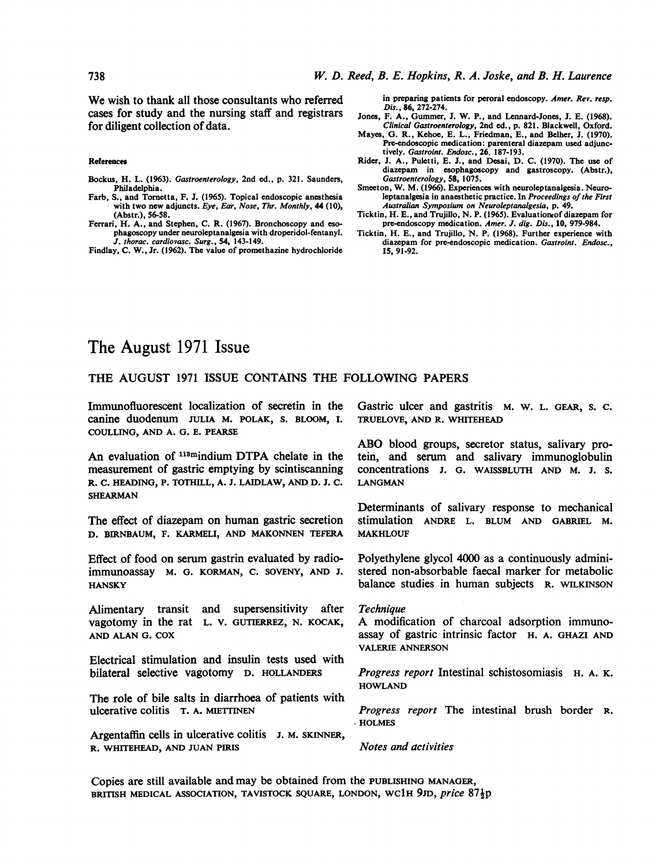We wish to thank all those consultants who referred cases for study and the nursing staff and registrars for diligent collection of data.

References

- Bockus, H. L. (1963). Gastroenterology, 2nd ed., p. 321. Saunders, Philadelphia.
- Farb, S., and Tornetta, F. J. (1965). Topical endoscopic anesthesia with two new adjuncts. Eye, Ear, Nose, Thr. Monthly, 44 (10), (Abstr.), 56-58.
- Ferrari, H. A., and Stephen, C. R. (1967). Bronchoscopy and esophagoscopy under neuroleptanalgesia with droperidol-fentanyl. J. thorac. cardiovasc. Surg., 54, 143-149.
- Findlay, C. W., Jr. (1962). The value of promethazine hydrochloride

in preparing patients for peroral endoscopy. Amer. Rev. resp. Dis., 86, 272-274.

- Jones, F. A., Gummer, J. W. P., and Lennard-Jones, J. E. (1968). Clinical Gastroenterology, 2nd ed., p. 821. Blackwell, Oxford.
- Mayes, G. R., Kehoe, E. L., Friedman, E., and Belher, J. (1970). Pre-endoscopic medication: parenteral diazepam used adjunctively. Gastroint. Endosc., 26. 187-193.
- Rider, J. A., Puletti, E. J., and Desai, D. C. (1970). The use of diazepam in esophagoscopy and gastroscopy. (Abstr.), Gastroenterology, 58, 1075.
- Smeeton, W. M. (1966). Experiences with neuroleptanalgesia. Neuroleptanalgesia in anaesthetic practice. In Proceedings of the First Australian Symposium on Neuroleptanalgesia, p. 49.
- Ticktin, H. E., and Trujillo, N. P. (1965). Evaluation of diazepam for<br>pre-endoscopy medication. Amer. J. dig. Dis., 10, 979-984.
- Ticktin, H. E., and Trujillo, N. P. (1968). Further experience with diazepam for pre-endoscopic medication. Gastroint. Endosc., 15, 91-92.

# The August 1971 Issue

### THE AUGUST <sup>1971</sup> ISSUE CONTAINS THE FOLLOWING PAPERS

Immunofluorescent localization of secretin in the canine duodenum JULIA M. POLAK, S. BLOOM, I. COULLING, AND A. G. E. PEARSE

An evaluation of  $113$ mindium DTPA chelate in the measurement of gastric emptying by scintiscanning R. C. HEADING, P. TOTHILL, A. J. LAIDLAW, AND D. J. C. SHEARMAN

The effect of diazepam on human gastric secretion D. BIRNBAUM, F. KARMELI, AND MAKONNEN TEFERA

Effect of food on serum gastrin evaluated by radioimmunoassay M. G. KORMAN, C. SOVENY, AND J. **HANSKY** 

Alimentary transit and supersensitivity after vagotomy in the rat L. V. GUTIERREZ, N. KOCAK, AND ALAN G. COX

Electrical stimulation and insulin tests used with bilateral selective vagotomy D. HOLLANDERS

The role of bile salts in diarrhoea of patients with ulcerative colitis T. A. MIETTINEN

Argentaffin cells in ulcerative colitis J. M. SKINNER, R. WHITEHEAD, AND JUAN PIRIS

Gastric ulcer and gastritis M. W. L. GEAR, S. C. TRUELOVE, AND R. WHITEHEAD

ABO blood groups, secretor status, salivary protein, and serum and salivary immunoglobulin concentrations J. G. WAISSBLUTH AND M. J. S. LANGMAN

Determinants of salivary response to mechanical stimulation ANDRE L. BLUM AND GABRIEL M. MAKHLOUF

Polyethylene glycol 4000 as a continuously administered non-absorbable faecal marker for metabolic balance studies in human subjects R. WILKINSON

#### **Technique**

A modification of charcoal adsorption immunoassay of gastric intrinsic factor H. A. GHAZI AND VALERIE ANNERSON

Progress report Intestinal schistosomiasis H. A. K. **HOWLAND** 

Progress report The intestinal brush border R. HOLMES

Notes and activities

Copies are still available and may be obtained from the PUBLISHING MANAGER, BRITISH MEDICAL ASSOCIATION, TAVISTOCK SQUARE, LONDON, WC1H 9JD, price 87<sup>1</sup>p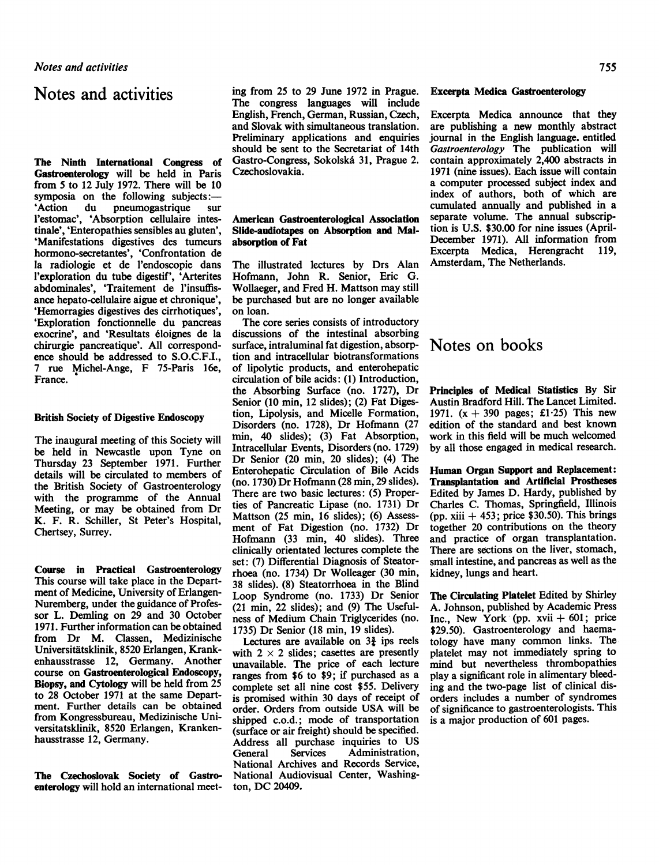### Notes and activities

The Ninth International Congress of Gastroenterology will be held in Paris from 5 to 12 July 1972. There will be 10 symposia on the following subjects:-'Action du pneumogastrique sur l'estomac', 'Absorption cellulaire intestinale', 'Enteropathies sensibles au gluten', 'Manifestations digestives des tumeurs hormono-secretantes', 'Confrontation de la radiologie et de l'endoscopie dans l'exploration du tube digestif', 'Arterites abdominales', 'Traitement de <sup>l</sup>'insuffisance hepato-cellulaire aigue et chronique', 'Hemorragies digestives des cirrhotiques', 'Exploration fonctionnelle du pancreas exocrine', and 'Resultats eloignes de la chirurgie pancreatique'. All correspondence should be addressed to S.O.C.F.I., <sup>7</sup> rue Michel-Ange, F 75-Paris 16e, France.

#### British Society of Digestive Endoscopy

The inaugural meeting of this Society will be held in Newcastle upon Tyne on Thursday 23 September 1971. Further details will be circulated to members of the British Society of Gastroenterology with the programme of the Annual Meeting, or may be obtained from Dr K. F. R. Schiller, St Peter's Hospital, Chertsey, Surrey.

Course in Practical Gastroenterology This course will take place in the Department of Medicine, University of Erlangen-Nuremberg, under the guidance of Professor L. Demling on 29 and 30 October 1971. Further information can be obtained from Dr M. Classen, Medizinische Universitatsklinik, 8520 Erlangen, Krankenhausstrasse 12, Germany. Another course on Gastroenterological Endoscopy, Biopsy, and Cytology will be held from 25 to 28 October 1971 at the same Department. Further details can be obtained from Kongressbureau, Medizinische Universitatsklinik, 8520 Erlangen, Krankenhausstrasse 12, Germany.

The Czechoslovak Society of Gastroenterology will hold an international meeting from 25 to 29 June 1972 in Prague. The congress languages will include English, French, German, Russian, Czech, and Slovak with simultaneous translation. Preliminary applications and enquiries should be sent to the Secretariat of 14th Gastro-Congress, Sokolska 31, Prague 2. Czechoslovakia.

### American Gastroenterological Association Slide-audiotapes on Absorption and Malabsorption of Fat

The illustrated lectures by Drs Alan Hofmann, John R. Senior, Eric G. Wollaeger, and Fred H. Mattson may still be purchased but are no longer available on loan.

The core series consists of introductory discussions of the intestinal absorbing surface, intraluminal fat digestion, absorption and intracellular biotransformations of lipolytic products, and enterohepatic circulation of bile acids: (1) Introduction, the Absorbing Surface (no. 1727), Dr Senior (10 min, 12 slides); (2) Fat Digestion, Lipolysis, and Micelle Formation, Disorders (no. 1728), Dr Hofmann (27 min, 40 slides); (3) Fat Absorption, Intracellular Events, Disorders (no. 1729) Dr Senior (20 min, 20 slides); (4) The Enterohepatic Circulation of Bile Acids (no. 1730) Dr Hofmann (28 min, 29 slides). There are two basic lectures: (5) Properties of Pancreatic Lipase (no. 1731) Dr Mattson (25 min, 16 slides); (6) Assessment of Fat Digestion (no. 1732) Dr Hofmann (33 min, 40 slides). Three clinically orientated lectures complete the set: (7) Differential Diagnosis of Steatorrhoea (no. 1734) Dr Wolleager (30 min, 38 slides). (8) Steatorrhoea in the Blind Loop Syndrome (no. 1733) Dr Senior (21 min, 22 slides); and (9) The Usefulness of Medium Chain Triglycerides (no. 1735) Dr Senior (18 min, 19 slides).

Lectures are available on  $3\frac{3}{2}$  ips reels with  $2 \times 2$  slides; casettes are presently unavailable. The price of each lecture ranges from \$6 to \$9; if purchased as a complete set all nine cost \$55. Delivery is promised within 30 days of receipt of order. Orders from outside USA will be shipped c.o.d.; mode of transportation (surface or air freight) should be specified. Address all purchase inquiries to US<br>
General Services Administration. General Services Administration, National Archives and Records Service, National Audiovisual Center, Washington, DC 20409.

### Excerpta Medica Gastroenterology

Excerpta Medica announce that they are publishing a new monthly abstract journal in the English language. entitled Gastroenterology The publication will contain approximately 2,400 abstracts in 1971 (nine issues). Each issue will contain a computer processed subject index and index of authors, both of which are cumulated annually and published in a separate volume. The annual subscription is U.S. \$30.00 for nine issues (April-December 1971). All information from<br>Excerota Medica. Herengracht 119. Excerpta Medica, Herengracht Amsterdam, The Netherlands.

## Notes on books

Principles of Medical Statistics By Sir Austin Bradford Hill. The Lancet Limited. 1971.  $(x + 390 \text{ pages}; \text{£}1.25)$  This new edition of the standard and best known work in this field will be much welcomed by all those engaged in medical research.

Human Organ Support and Replacement: Transplantation and Artificial Prostheses Edited by James D. Hardy, published by Charles C. Thomas, Springfield, Illinois (pp. xiii  $+453$ ; price \$30.50). This brings together 20 contributions on the theory and practice of organ transplantation. There are sections on the liver, stomach, small intestine, and pancreas as well as the kidney, lungs and heart.

The Circulating Platelet Edited by Shirley A. Johnson, published by Academic Press Inc., New York (pp.  $xvi + 601$ ; price \$29.50). Gastroenterology and haematology have many common links. The platelet may not immediately spring to mind but nevertheless thrombopathies play a significant role in alimentary bleeding and the two-page list of clinical disorders includes a number of syndromes of significance to gastroenterologists. This is a major production of 601 pages.